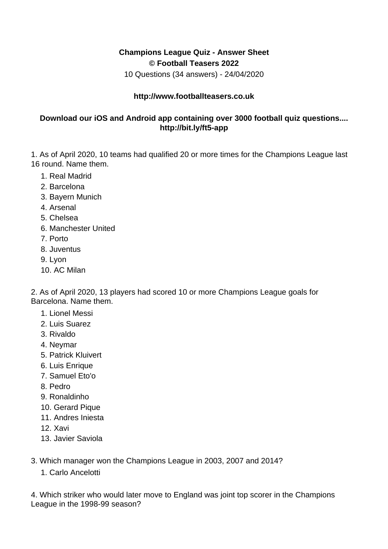## **Champions League Quiz - Answer Sheet © Football Teasers 2022**

10 Questions (34 answers) - 24/04/2020

## **http://www.footballteasers.co.uk**

## **Download our iOS and Android app containing over 3000 football quiz questions.... http://bit.ly/ft5-app**

1. As of April 2020, 10 teams had qualified 20 or more times for the Champions League last 16 round. Name them.

- 1. Real Madrid
- 2. Barcelona
- 3. Bayern Munich
- 4. Arsenal
- 5. Chelsea
- 6. Manchester United
- 7. Porto
- 8. Juventus
- 9. Lyon
- 10. AC Milan

2. As of April 2020, 13 players had scored 10 or more Champions League goals for Barcelona. Name them.

- 1. Lionel Messi
- 2. Luis Suarez
- 3. Rivaldo
- 4. Neymar
- 5. Patrick Kluivert
- 6. Luis Enrique
- 7. Samuel Eto'o
- 8. Pedro
- 9. Ronaldinho
- 10. Gerard Pique
- 11. Andres Iniesta
- 12. Xavi
- 13. Javier Saviola
- 3. Which manager won the Champions League in 2003, 2007 and 2014?
	- 1. Carlo Ancelotti

4. Which striker who would later move to England was joint top scorer in the Champions League in the 1998-99 season?